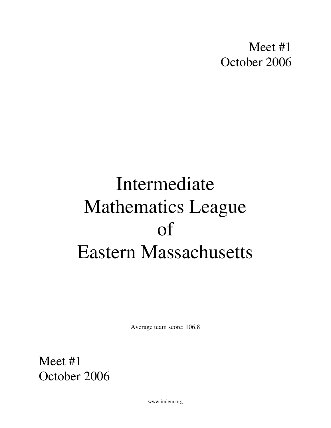Meet #1 October 2006

# Intermediate Mathematics League of Eastern Massachusetts

Average team score: 106.8

Meet #1 October 2006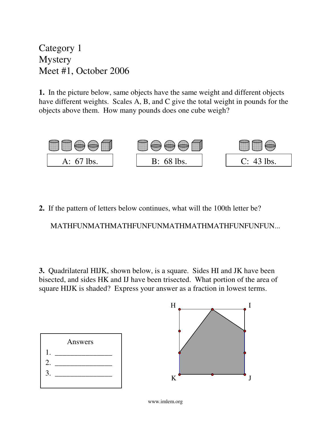Category 1 **Mystery** Meet #1, October 2006

**1.** In the picture below, same objects have the same weight and different objects have different weights. Scales A, B, and C give the total weight in pounds for the objects above them. How many pounds does one cube weigh?



**2.** If the pattern of letters below continues, what will the 100th letter be?

MATHFUNMATHMATHFUNFUNMATHMATHMATHFUNFUNFUN...

**3.** Quadrilateral HIJK, shown below, is a square. Sides HI and JK have been bisected, and sides HK and IJ have been trisected. What portion of the area of square HIJK is shaded? Express your answer as a fraction in lowest terms.

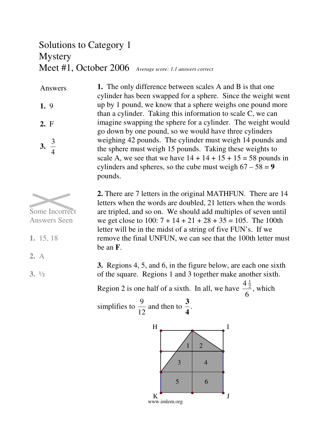# Solutions to Category 1 Mystery Meet #1, October 2006 *Average score: 1.1 answers correct*

**1.** The only difference between scales A and B is that one cylinder has been swapped for a sphere. Since the weight went up by 1 pound, we know that a sphere weighs one pound more than a cylinder. Taking this information to scale C, we can imagine swapping the sphere for a cylinder. The weight would go down by one pound, so we would have three cylinders weighing 42 pounds. The cylinder must weigh 14 pounds and the sphere must weigh 15 pounds. Taking these weights to scale A, we see that we have  $14 + 14 + 15 + 15 = 58$  pounds in cylinders and spheres, so the cube must weigh  $67 - 58 = 9$ pounds. Answers **1.** 9 **2.** F **3.** 3 4



Answers Seen

**1.** 15, 18

**2.** There are 7 letters in the original MATHFUN. There are 14 letters when the words are doubled, 21 letters when the words are tripled, and so on. We should add multiples of seven until we get close to 100:  $7 + 14 + 21 + 28 + 35 = 105$ . The 100th letter will be in the midst of a string of five FUN's. If we remove the final UNFUN, we can see that the 100th letter must be an **F**.

**3.** Regions 4, 5, and 6, in the figure below, are each one sixth of the square. Regions 1 and 3 together make another sixth. Region 2 is one half of a sixth. In all, we have  $4\frac{1}{2}$ 2 6 , which

simplifies to 
$$
\frac{9}{12}
$$
 and then to  $\frac{3}{4}$ .



www.imlem.org

**3.** ½

**2.** A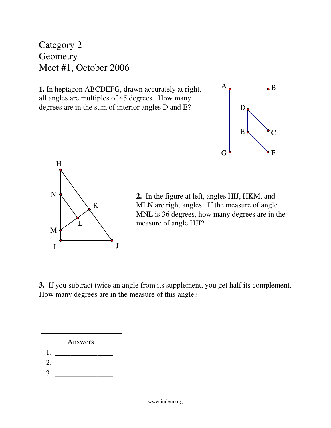Category 2 **Geometry** Meet #1, October 2006

**1.** In heptagon ABCDEFG, drawn accurately at right, all angles are multiples of 45 degrees. How many degrees are in the sum of interior angles D and E?





**2.** In the figure at left, angles HIJ, HKM, and MLN are right angles. If the measure of angle MNL is 36 degrees, how many degrees are in the measure of angle HJI?

**3.** If you subtract twice an angle from its supplement, you get half its complement. How many degrees are in the measure of this angle?

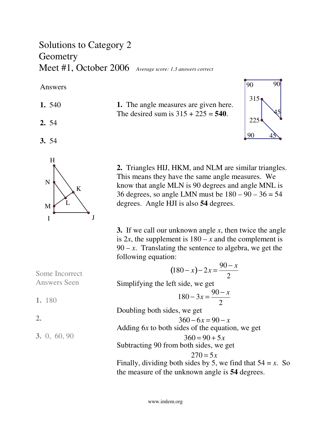### Solutions to Category 2 **Geometry** Meet #1, October 2006 *Average score: 1.3 answers correct*

Answers

- **1.** 540
- **2.** 54
- **3.** 54







**2.** Triangles HIJ, HKM, and NLM are similar triangles. This means they have the same angle measures. We know that angle MLN is 90 degrees and angle MNL is 36 degrees, so angle LMN must be  $180 - 90 - 36 = 54$ degrees. Angle HJI is also **54** degrees.

**3.** If we call our unknown angle *x*, then twice the angle is 2*x*, the supplement is  $180 - x$  and the complement is  $90 - x$ . Translating the sentence to algebra, we get the following equation:

 $(180 - x) - 2x = \frac{90 - x}{2}$ 2 Simplifying the left side, we get  $180 - 3x =$ 90 − *x* 2 Doubling both sides, we get  $360 - 6x = 90 - x$ Adding 6*x* to both sides of the equation, we get  $360 = 90 + 5x$ Subtracting 90 from both sides, we get  $270 = 5x$ Finally, dividing both sides by 5, we find that  $54 = x$ . So the measure of the unknown angle is **54** degrees. Some Incorrect Answers Seen **1.** 180 **3.** 0, 60, 90

**2.**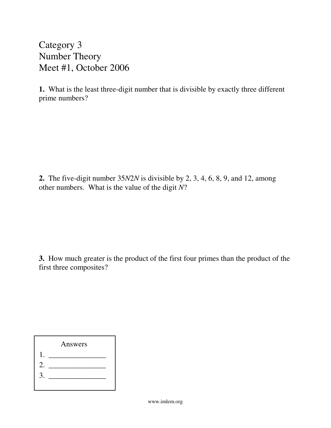Category 3 Number Theory Meet #1, October 2006

**1.** What is the least three-digit number that is divisible by exactly three different prime numbers?

**2.** The five-digit number 35*N*2*N* is divisible by 2, 3, 4, 6, 8, 9, and 12, among other numbers. What is the value of the digit *N*?

**3.** How much greater is the product of the first four primes than the product of the first three composites?

|    | Answers |  |
|----|---------|--|
|    |         |  |
| 2. |         |  |
| 3  |         |  |
|    |         |  |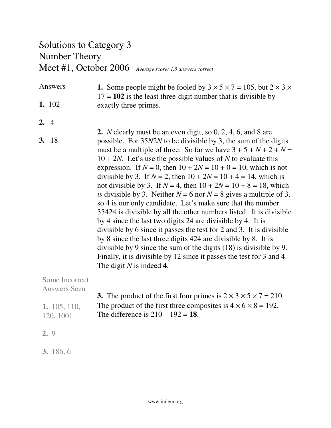# Solutions to Category 3 Number Theory Meet #1, October 2006 *Average score: 1.5 answers correct*

#### **1.** Some people might be fooled by  $3 \times 5 \times 7 = 105$ , but  $2 \times 3 \times$  $17 = 102$  is the least three-digit number that is divisible by exactly three primes. Answers **1.** 102

- **2.** 4
- **2.** *N* clearly must be an even digit, so 0, 2, 4, 6, and 8 are possible. For 35*N*2*N* to be divisible by 3, the sum of the digits must be a multiple of three. So far we have  $3 + 5 + N + 2 + N =$ 10 + 2*N*. Let's use the possible values of *N* to evaluate this expression. If  $N = 0$ , then  $10 + 2N = 10 + 0 = 10$ , which is not divisible by 3. If  $N = 2$ , then  $10 + 2N = 10 + 4 = 14$ , which is not divisible by 3. If  $N = 4$ , then  $10 + 2N = 10 + 8 = 18$ , which *is* divisible by 3. Neither  $N = 6$  nor  $N = 8$  gives a multiple of 3, so 4 is our only candidate. Let's make sure that the number 35424 is divisible by all the other numbers listed. It is divisible by 4 since the last two digits 24 are divisible by 4. It is divisible by 6 since it passes the test for 2 and 3. It is divisible by 8 since the last three digits 424 are divisible by 8. It is divisible by 9 since the sum of the digits (18) is divisible by 9. Finally, it is divisible by 12 since it passes the test for 3 and 4. The digit *N* is indeed **4**. **3.** 18

Some Incorrect Answers Seen

**1.** 105, 110, 120, 1001

| 3. The product of the first four primes is $2 \times 3 \times 5 \times 7 = 210$ . |
|-----------------------------------------------------------------------------------|
| The product of the first three composites is $4 \times 6 \times 8 = 192$ .        |
| The difference is $210 - 192 = 18$ .                                              |

**2.** 9

**3.** 186, 6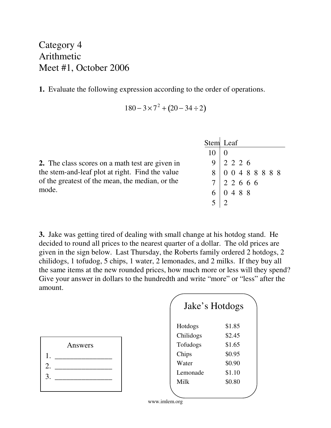Category 4 Arithmetic Meet #1, October 2006

**1.** Evaluate the following expression according to the order of operations.

$$
180 - 3 \times 7^2 + (20 - 34 \div 2)
$$

**2.** The class scores on a math test are given in the stem-and-leaf plot at right. Find the value of the greatest of the mean, the median, or the mode.

| Stem Leaf                                                                                                                              |  |  |  |  |  |
|----------------------------------------------------------------------------------------------------------------------------------------|--|--|--|--|--|
| $10 \mid 0$                                                                                                                            |  |  |  |  |  |
| $\begin{array}{c cccc}\n9 & 2 & 2 & 2 & 6 \\ 8 & 0 & 0 & 4 & 8 & 8 & 8 & 8 \\ 7 & 2 & 2 & 6 & 6 & 6 \\ 6 & 0 & 4 & 8 & 8\n\end{array}$ |  |  |  |  |  |
|                                                                                                                                        |  |  |  |  |  |
|                                                                                                                                        |  |  |  |  |  |
| $\begin{array}{c} 6 \\ 5 \end{array}$                                                                                                  |  |  |  |  |  |
|                                                                                                                                        |  |  |  |  |  |

**3.** Jake was getting tired of dealing with small change at his hotdog stand. He decided to round all prices to the nearest quarter of a dollar. The old prices are given in the sign below. Last Thursday, the Roberts family ordered 2 hotdogs, 2 chilidogs, 1 tofudog, 5 chips, 1 water, 2 lemonades, and 2 milks. If they buy all the same items at the new rounded prices, how much more or less will they spend? Give your answer in dollars to the hundredth and write "more" or "less" after the amount.

|    | Answers |  |
|----|---------|--|
|    |         |  |
| 2. |         |  |
| 3  |         |  |
|    |         |  |

| Jake's Hotdogs |        |
|----------------|--------|
| Hotdogs        | \$1.85 |
| Chilidogs      | \$2.45 |
| Tofudogs       | \$1.65 |
| Chips          | \$0.95 |
| Water          | \$0.90 |
| Lemonade       | \$1.10 |
| Milk           | \$0.80 |
|                |        |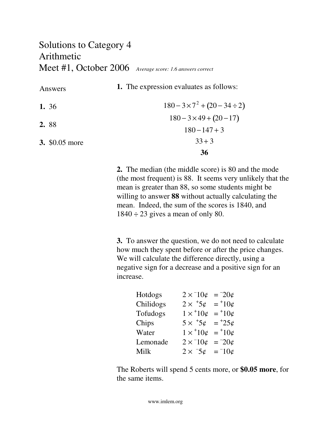### Solutions to Category 4 Arithmetic Meet #1, October 2006 *Average score: 1.6 answers correct*

Answers

**1.** The expression evaluates as follows:

|                       | 36                                      |
|-----------------------|-----------------------------------------|
| <b>3.</b> \$0.05 more | $33 + 3$                                |
| 2.88                  | $180 - 147 + 3$                         |
|                       | $180 - 3 \times 49 + (20 - 17)$         |
| 1. $36$               | $180 - 3 \times 7^2 + (20 - 34 \div 2)$ |

**2.** The median (the middle score) is 80 and the mode (the most frequent) is 88. It seems very unlikely that the mean is greater than 88, so some students might be willing to answer **88** without actually calculating the mean. Indeed, the sum of the scores is 1840, and  $1840 \div 23$  gives a mean of only 80.

**3.** To answer the question, we do not need to calculate how much they spent before or after the price changes. We will calculate the difference directly, using a negative sign for a decrease and a positive sign for an increase.

| Hotdogs   | $2 \times 10^{\circ}$     | $= 20$ ¢                      |
|-----------|---------------------------|-------------------------------|
| Chilidogs | $2\times$ $^+5\textit{c}$ | $=$ +10 $\varphi$             |
| Tofudogs  | $1 \times 10\phi$         | $=$ <sup>+</sup> 10 $\varphi$ |
| Chips     | $5 \times 50$             | $= 25$ ¢                      |
| Water     | $1 \times 10\phi$         | $=$ +10¢                      |
| Lemonade  | $2 \times 10^{\circ}$     | $= 20$ ¢                      |
| Milk      | $2 \times 5\phi = 10\phi$ |                               |

The Roberts will spend 5 cents more, or **\$0.05 more**, for the same items.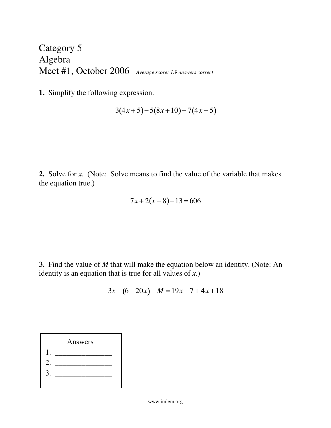Category 5 Algebra Meet #1, October 2006 *Average score: 1.9 answers correct*

**1.** Simplify the following expression.

$$
3(4x+5)-5(8x+10)+7(4x+5)
$$

**2.** Solve for *x*. (Note: Solve means to find the value of the variable that makes the equation true.)

$$
7x + 2(x + 8) - 13 = 606
$$

**3.** Find the value of *M* that will make the equation below an identity. (Note: An identity is an equation that is true for all values of *x*.)

$$
3x - (6 - 20x) + M = 19x - 7 + 4x + 18
$$

|                  | Answers |
|------------------|---------|
|                  |         |
| $\overline{2}$ . |         |
| 3                |         |
|                  |         |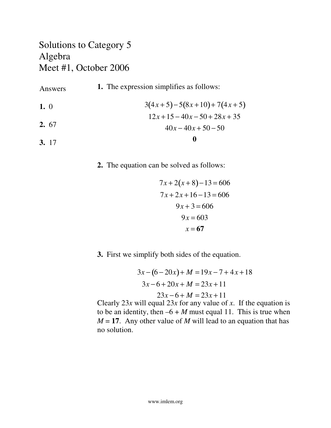### Solutions to Category 5 Algebra Meet #1, October 2006

| Answers | <b>1.</b> The expression simplifies as follows: |
|---------|-------------------------------------------------|
| 1.0     | $3(4x+5)-5(8x+10)+7(4x+5)$                      |
|         | $12x+15-40x-50+28x+35$                          |
| 2.67    | $40x-40x+50-50$                                 |
| 3. 17   | 0                                               |

**2.** The equation can be solved as follows:

$$
7x+2(x+8)-13=606
$$
  

$$
7x+2x+16-13=606
$$
  

$$
9x+3=606
$$
  

$$
9x=603
$$
  

$$
x=67
$$

**3.** First we simplify both sides of the equation.

$$
3x - (6 - 20x) + M = 19x - 7 + 4x + 18
$$

$$
3x - 6 + 20x + M = 23x + 11
$$

$$
23x - 6 + M = 23x + 11
$$

Clearly 23*x* will equal 23*x* for any value of *x*. If the equation is to be an identity, then  $-6 + M$  must equal 11. This is true when  $M = 17$ . Any other value of *M* will lead to an equation that has no solution.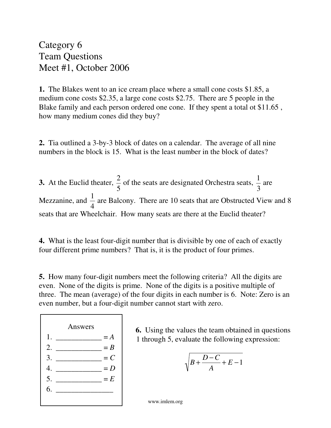Category 6 Team Questions Meet #1, October 2006

**1.** The Blakes went to an ice cream place where a small cone costs \$1.85, a medium cone costs \$2.35, a large cone costs \$2.75. There are 5 people in the Blake family and each person ordered one cone. If they spent a total ot \$11.65 , how many medium cones did they buy?

**2.** Tia outlined a 3-by-3 block of dates on a calendar. The average of all nine numbers in the block is 15. What is the least number in the block of dates?

**3.** At the Euclid theater, 2 5 of the seats are designated Orchestra seats, 1 3 are Mezzanine, and 1 4 are Balcony. There are 10 seats that are Obstructed View and 8 seats that are Wheelchair. How many seats are there at the Euclid theater?

**4.** What is the least four-digit number that is divisible by one of each of exactly four different prime numbers? That is, it is the product of four primes.

**5.** How many four-digit numbers meet the following criteria? All the digits are even. None of the digits is prime. None of the digits is a positive multiple of three. The mean (average) of the four digits in each number is 6. Note: Zero is an even number, but a four-digit number cannot start with zero.



**6.** Using the values the team obtained in questions 1 through 5, evaluate the following expression:

$$
\sqrt{B + \frac{D - C}{A} + E - 1}
$$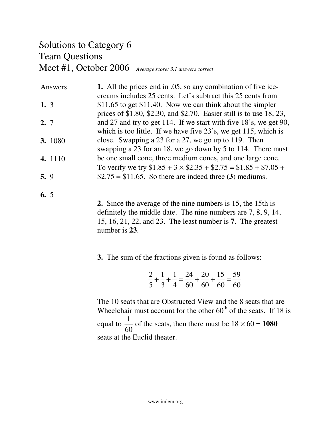# Solutions to Category 6 Team Questions Meet #1, October 2006 *Average score: 3.1 answers correct*

| Answers | 1. All the prices end in .05, so any combination of five ice-           |
|---------|-------------------------------------------------------------------------|
|         | creams includes 25 cents. Let's subtract this 25 cents from             |
| 1.3     | \$11.65 to get \$11.40. Now we can think about the simpler              |
|         | prices of \$1.80, \$2.30, and \$2.70. Easier still is to use $18, 23$ , |
| 2, 7    | and 27 and try to get 114. If we start with five 18's, we get 90,       |
|         | which is too little. If we have five 23's, we get 115, which is         |
| 3. 1080 | close. Swapping a 23 for a 27, we go up to 119. Then                    |
|         | swapping a 23 for an 18, we go down by 5 to 114. There must             |
| 4. 1110 | be one small cone, three medium cones, and one large cone.              |
|         | To verify we try $$1.85 + 3 \times $2.35 + $2.75 = $1.85 + $7.05 +$     |
| 5.9     | $$2.75 = $11.65$ . So there are indeed three (3) mediums.               |

**6.** 5

**2.** Since the average of the nine numbers is 15, the 15th is definitely the middle date. The nine numbers are 7, 8, 9, 14, 15, 16, 21, 22, and 23. The least number is **7**. The greatest number is **23**.

**3.** The sum of the fractions given is found as follows:

$$
\frac{2}{5} + \frac{1}{3} + \frac{1}{4} = \frac{24}{60} + \frac{20}{60} + \frac{15}{60} = \frac{59}{60}
$$

The 10 seats that are Obstructed View and the 8 seats that are Wheelchair must account for the other  $60<sup>th</sup>$  of the seats. If 18 is equal to 1 60 of the seats, then there must be  $18 \times 60 = 1080$ seats at the Euclid theater.